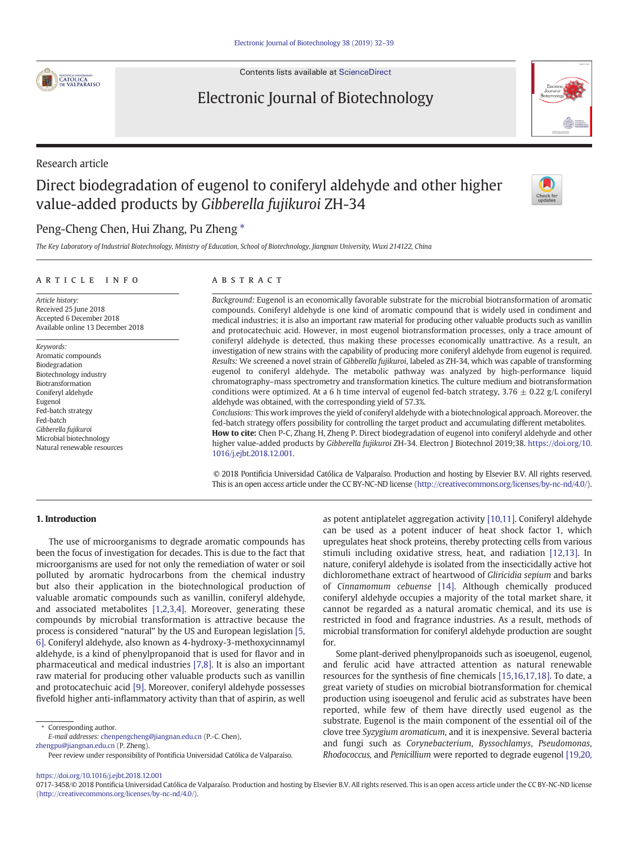

Contents lists available at [ScienceDirect](http://www.sciencedirect.com/science/journal/07173458)

# Electronic Journal of Biotechnology



# Direct biodegradation of eugenol to coniferyl aldehyde and other higher value-added products by Gibberella fujikuroi ZH-34



## Peng-Cheng Chen, Hui Zhang, Pu Zheng  $*$

The Key Laboratory of Industrial Biotechnology, Ministry of Education, School of Biotechnology, Jiangnan University, Wuxi 214122, China

#### article info abstract

Article history: Received 25 June 2018 Accepted 6 December 2018 Available online 13 December 2018

Keywords: Aromatic compounds Biodegradation Biotechnology industry Biotransformation Coniferyl aldehyde Eugenol Fed-batch strategy Fed-batch Gibberella fujikuroi Microbial biotechnology Natural renewable resources

Background: Eugenol is an economically favorable substrate for the microbial biotransformation of aromatic compounds. Coniferyl aldehyde is one kind of aromatic compound that is widely used in condiment and medical industries; it is also an important raw material for producing other valuable products such as vanillin and protocatechuic acid. However, in most eugenol biotransformation processes, only a trace amount of coniferyl aldehyde is detected, thus making these processes economically unattractive. As a result, an investigation of new strains with the capability of producing more coniferyl aldehyde from eugenol is required. Results: We screened a novel strain of Gibberella fujikuroi, labeled as ZH-34, which was capable of transforming eugenol to coniferyl aldehyde. The metabolic pathway was analyzed by high-performance liquid chromatography–mass spectrometry and transformation kinetics. The culture medium and biotransformation conditions were optimized. At a 6 h time interval of eugenol fed-batch strategy,  $3.76 \pm 0.22$  g/L coniferyl aldehyde was obtained, with the corresponding yield of 57.3%.

Conclusions: This work improves the yield of coniferyl aldehyde with a biotechnological approach. Moreover, the fed-batch strategy offers possibility for controlling the target product and accumulating different metabolites. How to cite: Chen P-C, Zhang H, Zheng P. Direct biodegradation of eugenol into coniferyl aldehyde and other higher value-added products by Gibberella fujikuroi ZH-34. Electron J Biotechnol 2019;38. [https://doi.org/10.](https://doi.org/10.1016/j.ejbt.2018.12.001) [1016/j.ejbt.2018.12.001](https://doi.org/10.1016/j.ejbt.2018.12.001).

© 2018 Pontificia Universidad Católica de Valparaíso. Production and hosting by Elsevier B.V. All rights reserved. This is an open access article under the CC BY-NC-ND license (<http://creativecommons.org/licenses/by-nc-nd/4.0/>).

## 1. Introduction

The use of microorganisms to degrade aromatic compounds has been the focus of investigation for decades. This is due to the fact that microorganisms are used for not only the remediation of water or soil polluted by aromatic hydrocarbons from the chemical industry but also their application in the biotechnological production of valuable aromatic compounds such as vanillin, coniferyl aldehyde, and associated metabolites [\[1,2,3,4\]](#page-6-0). Moreover, generating these compounds by microbial transformation is attractive because the process is considered "natural" by the US and European legislation [\[5,](#page-6-0) [6\]](#page-6-0). Coniferyl aldehyde, also known as 4-hydroxy-3-methoxycinnamyl aldehyde, is a kind of phenylpropanoid that is used for flavor and in pharmaceutical and medical industries [\[7,8\].](#page-6-0) It is also an important raw material for producing other valuable products such as vanillin and protocatechuic acid [\[9\].](#page-6-0) Moreover, coniferyl aldehyde possesses fivefold higher anti-inflammatory activity than that of aspirin, as well

⁎ Corresponding author.

E-mail addresses: chenpengcheng@jiangnan.edu.cn (P.-C. Chen), <zhengpu@jiangnan.edu.cn> (P. Zheng).

as potent antiplatelet aggregation activity [\[10,11\].](#page-6-0) Coniferyl aldehyde can be used as a potent inducer of heat shock factor 1, which upregulates heat shock proteins, thereby protecting cells from various stimuli including oxidative stress, heat, and radiation [\[12,13\]](#page-6-0). In nature, coniferyl aldehyde is isolated from the insecticidally active hot dichloromethane extract of heartwood of Gliricidia sepium and barks of Cinnamomum cebuense [\[14\]](#page-6-0). Although chemically produced coniferyl aldehyde occupies a majority of the total market share, it cannot be regarded as a natural aromatic chemical, and its use is restricted in food and fragrance industries. As a result, methods of microbial transformation for coniferyl aldehyde production are sought for.

Some plant-derived phenylpropanoids such as isoeugenol, eugenol, and ferulic acid have attracted attention as natural renewable resources for the synthesis of fine chemicals [\[15,16,17,18\]](#page-6-0). To date, a great variety of studies on microbial biotransformation for chemical production using isoeugenol and ferulic acid as substrates have been reported, while few of them have directly used eugenol as the substrate. Eugenol is the main component of the essential oil of the clove tree Syzygium aromaticum, and it is inexpensive. Several bacteria and fungi such as Corynebacterium, Byssochlamys, Pseudomonas, Rhodococcus, and Penicillium were reported to degrade eugenol [\[19,20,](#page-6-0)

<https://doi.org/10.1016/j.ejbt.2018.12.001>

Peer review under responsibility of Pontificia Universidad Católica de Valparaíso.

<sup>0717-3458/© 2018</sup> Pontificia Universidad Católica de Valparaíso. Production and hosting by Elsevier B.V. All rights reserved. This is an open access article under the CC BY-NC-ND license (<http://creativecommons.org/licenses/by-nc-nd/4.0/>).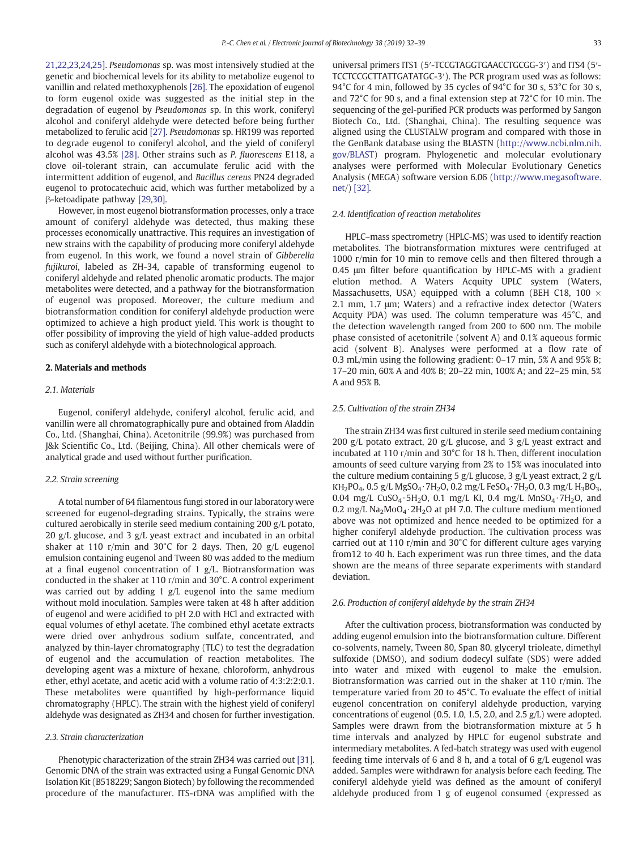[21,22,23,24,25\]](#page-6-0). Pseudomonas sp. was most intensively studied at the genetic and biochemical levels for its ability to metabolize eugenol to vanillin and related methoxyphenols [\[26\].](#page-7-0) The epoxidation of eugenol to form eugenol oxide was suggested as the initial step in the degradation of eugenol by Pseudomonas sp. In this work, coniferyl alcohol and coniferyl aldehyde were detected before being further metabolized to ferulic acid [\[27\].](#page-7-0) Pseudomonas sp. HR199 was reported to degrade eugenol to coniferyl alcohol, and the yield of coniferyl alcohol was 43.5% [\[28\]](#page-7-0). Other strains such as P. fluorescens E118, a clove oil-tolerant strain, can accumulate ferulic acid with the intermittent addition of eugenol, and Bacillus cereus PN24 degraded eugenol to protocatechuic acid, which was further metabolized by a β-ketoadipate pathway [\[29,30\]](#page-7-0).

However, in most eugenol biotransformation processes, only a trace amount of coniferyl aldehyde was detected, thus making these processes economically unattractive. This requires an investigation of new strains with the capability of producing more coniferyl aldehyde from eugenol. In this work, we found a novel strain of Gibberella fujikuroi, labeled as ZH-34, capable of transforming eugenol to coniferyl aldehyde and related phenolic aromatic products. The major metabolites were detected, and a pathway for the biotransformation of eugenol was proposed. Moreover, the culture medium and biotransformation condition for coniferyl aldehyde production were optimized to achieve a high product yield. This work is thought to offer possibility of improving the yield of high value-added products such as coniferyl aldehyde with a biotechnological approach.

#### 2. Materials and methods

#### 2.1. Materials

Eugenol, coniferyl aldehyde, coniferyl alcohol, ferulic acid, and vanillin were all chromatographically pure and obtained from Aladdin Co., Ltd. (Shanghai, China). Acetonitrile (99.9%) was purchased from J&k Scientific Co., Ltd. (Beijing, China). All other chemicals were of analytical grade and used without further purification.

#### 2.2. Strain screening

A total number of 64 filamentous fungi stored in our laboratory were screened for eugenol-degrading strains. Typically, the strains were cultured aerobically in sterile seed medium containing 200 g/L potato, 20 g/L glucose, and 3 g/L yeast extract and incubated in an orbital shaker at 110 r/min and 30°C for 2 days. Then, 20 g/L eugenol emulsion containing eugenol and Tween 80 was added to the medium at a final eugenol concentration of 1 g/L. Biotransformation was conducted in the shaker at 110 r/min and 30°C. A control experiment was carried out by adding 1 g/L eugenol into the same medium without mold inoculation. Samples were taken at 48 h after addition of eugenol and were acidified to pH 2.0 with HCl and extracted with equal volumes of ethyl acetate. The combined ethyl acetate extracts were dried over anhydrous sodium sulfate, concentrated, and analyzed by thin-layer chromatography (TLC) to test the degradation of eugenol and the accumulation of reaction metabolites. The developing agent was a mixture of hexane, chloroform, anhydrous ether, ethyl acetate, and acetic acid with a volume ratio of 4:3:2:2:0.1. These metabolites were quantified by high-performance liquid chromatography (HPLC). The strain with the highest yield of coniferyl aldehyde was designated as ZH34 and chosen for further investigation.

#### 2.3. Strain characterization

Phenotypic characterization of the strain ZH34 was carried out [\[31\].](#page-7-0) Genomic DNA of the strain was extracted using a Fungal Genomic DNA Isolation Kit (B518229; Sangon Biotech) by following the recommended procedure of the manufacturer. ITS-rDNA was amplified with the universal primers ITS1 (5′-TCCGTAGGTGAACCTGCGG-3′) and ITS4 (5′- TCCTCCGCTTATTGATATGC-3′). The PCR program used was as follows: 94°C for 4 min, followed by 35 cycles of 94°C for 30 s, 53°C for 30 s, and 72°C for 90 s, and a final extension step at 72°C for 10 min. The sequencing of the gel-purified PCR products was performed by Sangon Biotech Co., Ltd. (Shanghai, China). The resulting sequence was aligned using the CLUSTALW program and compared with those in the GenBank database using the BLASTN ([http://www.ncbi.nlm.nih.](http://www.ncbi.nlm.nih.gov/BLAST) [gov/BLAST](http://www.ncbi.nlm.nih.gov/BLAST)) program. Phylogenetic and molecular evolutionary analyses were performed with Molecular Evolutionary Genetics Analysis (MEGA) software version 6.06 ([http://www.megasoftware.](http://www.megasoftware.net) [net](http://www.megasoftware.net)/) [\[32\].](#page-7-0)

#### 2.4. Identification of reaction metabolites

HPLC–mass spectrometry (HPLC-MS) was used to identify reaction metabolites. The biotransformation mixtures were centrifuged at 1000 r/min for 10 min to remove cells and then filtered through a 0.45 μm filter before quantification by HPLC-MS with a gradient elution method. A Waters Acquity UPLC system (Waters, Massachusetts, USA) equipped with a column (BEH C18, 100  $\times$ 2.1 mm, 1.7 μm; Waters) and a refractive index detector (Waters Acquity PDA) was used. The column temperature was 45°C, and the detection wavelength ranged from 200 to 600 nm. The mobile phase consisted of acetonitrile (solvent A) and 0.1% aqueous formic acid (solvent B). Analyses were performed at a flow rate of 0.3 mL/min using the following gradient: 0–17 min, 5% A and 95% B; 17–20 min, 60% A and 40% B; 20–22 min, 100% A; and 22–25 min, 5% A and 95% B.

#### 2.5. Cultivation of the strain ZH34

The strain ZH34 was first cultured in sterile seed medium containing 200 g/L potato extract, 20 g/L glucose, and 3 g/L yeast extract and incubated at 110 r/min and 30°C for 18 h. Then, different inoculation amounts of seed culture varying from 2% to 15% was inoculated into the culture medium containing 5 g/L glucose, 3 g/L yeast extract, 2 g/L KH<sub>2</sub>PO<sub>4</sub>, 0.5 g/L MgSO<sub>4</sub>⋅7H<sub>2</sub>O, 0.2 mg/L FeSO<sub>4</sub>⋅7H<sub>2</sub>O, 0.3 mg/L H<sub>3</sub>BO<sub>3</sub>, 0.04 mg/L CuSO<sub>4</sub> ⋅ 5H<sub>2</sub>O, 0.1 mg/L KI, 0.4 mg/L MnSO<sub>4</sub> ⋅ 7H<sub>2</sub>O, and 0.2 mg/L Na2MoO4 ⋅2H2O at pH 7.0. The culture medium mentioned above was not optimized and hence needed to be optimized for a higher coniferyl aldehyde production. The cultivation process was carried out at 110 r/min and 30°C for different culture ages varying from12 to 40 h. Each experiment was run three times, and the data shown are the means of three separate experiments with standard deviation.

#### 2.6. Production of coniferyl aldehyde by the strain ZH34

After the cultivation process, biotransformation was conducted by adding eugenol emulsion into the biotransformation culture. Different co-solvents, namely, Tween 80, Span 80, glyceryl trioleate, dimethyl sulfoxide (DMSO), and sodium dodecyl sulfate (SDS) were added into water and mixed with eugenol to make the emulsion. Biotransformation was carried out in the shaker at 110 r/min. The temperature varied from 20 to 45°C. To evaluate the effect of initial eugenol concentration on coniferyl aldehyde production, varying concentrations of eugenol (0.5, 1.0, 1.5, 2.0, and 2.5 g/L) were adopted. Samples were drawn from the biotransformation mixture at 5 h time intervals and analyzed by HPLC for eugenol substrate and intermediary metabolites. A fed-batch strategy was used with eugenol feeding time intervals of 6 and 8 h, and a total of 6 g/L eugenol was added. Samples were withdrawn for analysis before each feeding. The coniferyl aldehyde yield was defined as the amount of coniferyl aldehyde produced from 1 g of eugenol consumed (expressed as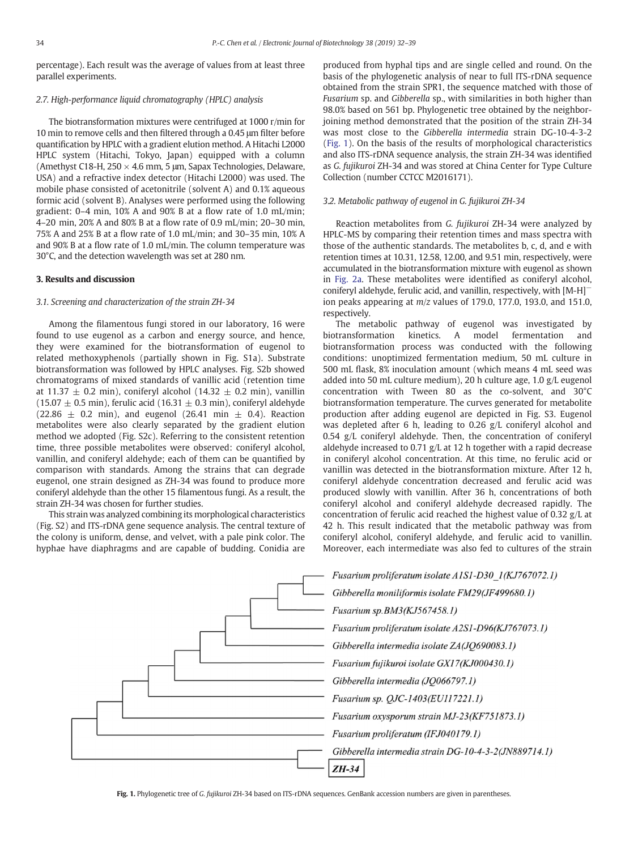percentage). Each result was the average of values from at least three parallel experiments.

#### 2.7. High-performance liquid chromatography (HPLC) analysis

The biotransformation mixtures were centrifuged at 1000 r/min for 10 min to remove cells and then filtered through a 0.45 μm filter before quantification by HPLC with a gradient elution method. A Hitachi L2000 HPLC system (Hitachi, Tokyo, Japan) equipped with a column (Amethyst C18-H, 250  $\times$  4.6 mm, 5 µm, Sapax Technologies, Delaware, USA) and a refractive index detector (Hitachi L2000) was used. The mobile phase consisted of acetonitrile (solvent A) and 0.1% aqueous formic acid (solvent B). Analyses were performed using the following gradient: 0–4 min, 10% A and 90% B at a flow rate of 1.0 mL/min; 4–20 min, 20% A and 80% B at a flow rate of 0.9 mL/min; 20–30 min, 75% A and 25% B at a flow rate of 1.0 mL/min; and 30–35 min, 10% A and 90% B at a flow rate of 1.0 mL/min. The column temperature was 30°C, and the detection wavelength was set at 280 nm.

#### 3. Results and discussion

#### 3.1. Screening and characterization of the strain ZH-34

Among the filamentous fungi stored in our laboratory, 16 were found to use eugenol as a carbon and energy source, and hence, they were examined for the biotransformation of eugenol to related methoxyphenols (partially shown in Fig. S1a). Substrate biotransformation was followed by HPLC analyses. Fig. S2b showed chromatograms of mixed standards of vanillic acid (retention time at 11.37  $\pm$  0.2 min), coniferyl alcohol (14.32  $\pm$  0.2 min), vanillin  $(15.07 \pm 0.5 \text{ min})$ , ferulic acid  $(16.31 \pm 0.3 \text{ min})$ , coniferyl aldehyde  $(22.86 \pm 0.2 \text{ min})$ , and eugenol  $(26.41 \text{ min } \pm 0.4)$ . Reaction metabolites were also clearly separated by the gradient elution method we adopted (Fig. S2c). Referring to the consistent retention time, three possible metabolites were observed: coniferyl alcohol, vanillin, and coniferyl aldehyde; each of them can be quantified by comparison with standards. Among the strains that can degrade eugenol, one strain designed as ZH-34 was found to produce more coniferyl aldehyde than the other 15 filamentous fungi. As a result, the strain ZH-34 was chosen for further studies.

This strain was analyzed combining its morphological characteristics (Fig. S2) and ITS-rDNA gene sequence analysis. The central texture of the colony is uniform, dense, and velvet, with a pale pink color. The hyphae have diaphragms and are capable of budding. Conidia are

produced from hyphal tips and are single celled and round. On the basis of the phylogenetic analysis of near to full ITS-rDNA sequence obtained from the strain SPR1, the sequence matched with those of Fusarium sp. and Gibberella sp., with similarities in both higher than 98.0% based on 561 bp. Phylogenetic tree obtained by the neighborjoining method demonstrated that the position of the strain ZH-34 was most close to the Gibberella intermedia strain DG-10-4-3-2 (Fig. 1). On the basis of the results of morphological characteristics and also ITS-rDNA sequence analysis, the strain ZH-34 was identified as G. fujikuroi ZH-34 and was stored at China Center for Type Culture Collection (number CCTCC M2016171).

#### 3.2. Metabolic pathway of eugenol in G. fujikuroi ZH-34

Reaction metabolites from G. fujikuroi ZH-34 were analyzed by HPLC-MS by comparing their retention times and mass spectra with those of the authentic standards. The metabolites b, c, d, and e with retention times at 10.31, 12.58, 12.00, and 9.51 min, respectively, were accumulated in the biotransformation mixture with eugenol as shown in [Fig. 2a.](#page-3-0) These metabolites were identified as coniferyl alcohol, coniferyl aldehyde, ferulic acid, and vanillin, respectively, with [M-H]<sup>−</sup> ion peaks appearing at  $m/z$  values of 179.0, 177.0, 193.0, and 151.0, respectively.

The metabolic pathway of eugenol was investigated by biotransformation kinetics. A model fermentation and biotransformation process was conducted with the following conditions: unoptimized fermentation medium, 50 mL culture in 500 mL flask, 8% inoculation amount (which means 4 mL seed was added into 50 mL culture medium), 20 h culture age, 1.0 g/L eugenol concentration with Tween 80 as the co-solvent, and 30°C biotransformation temperature. The curves generated for metabolite production after adding eugenol are depicted in Fig. S3. Eugenol was depleted after 6 h, leading to 0.26 g/L coniferyl alcohol and 0.54 g/L coniferyl aldehyde. Then, the concentration of coniferyl aldehyde increased to 0.71 g/L at 12 h together with a rapid decrease in coniferyl alcohol concentration. At this time, no ferulic acid or vanillin was detected in the biotransformation mixture. After 12 h, coniferyl aldehyde concentration decreased and ferulic acid was produced slowly with vanillin. After 36 h, concentrations of both coniferyl alcohol and coniferyl aldehyde decreased rapidly. The concentration of ferulic acid reached the highest value of 0.32 g/L at 42 h. This result indicated that the metabolic pathway was from coniferyl alcohol, coniferyl aldehyde, and ferulic acid to vanillin. Moreover, each intermediate was also fed to cultures of the strain



Fig. 1. Phylogenetic tree of G. fujikuroi ZH-34 based on ITS-rDNA sequences. GenBank accession numbers are given in parentheses.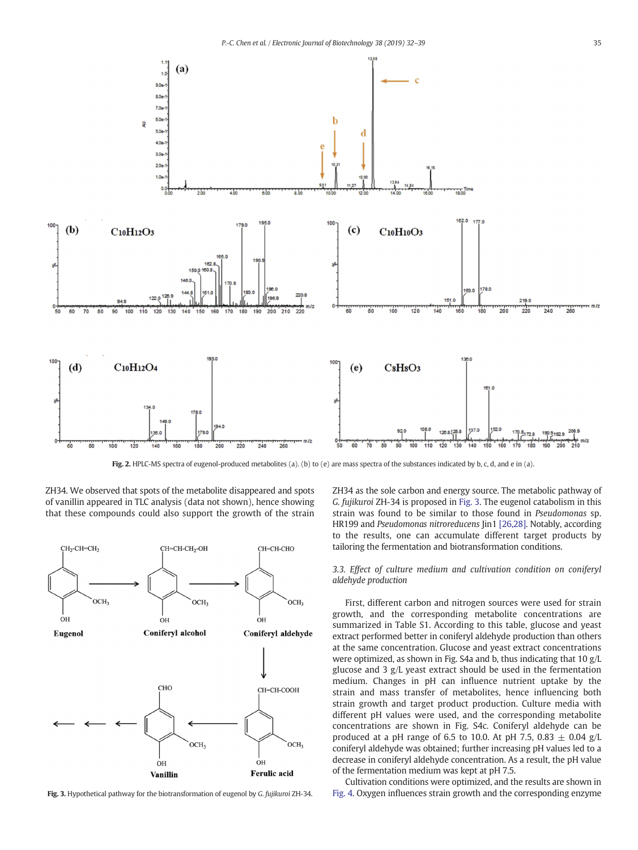<span id="page-3-0"></span>

Fig. 2. HPLC-MS spectra of eugenol-produced metabolites (a). (b) to (e) are mass spectra of the substances indicated by b, c, d, and e in (a).

ZH34. We observed that spots of the metabolite disappeared and spots of vanillin appeared in TLC analysis (data not shown), hence showing that these compounds could also support the growth of the strain



Fig. 3. Hypothetical pathway for the biotransformation of eugenol by G. fujikuroi ZH-34.

ZH34 as the sole carbon and energy source. The metabolic pathway of G. fujikuroi ZH-34 is proposed in Fig. 3. The eugenol catabolism in this strain was found to be similar to those found in Pseudomonas sp. HR199 and Pseudomonas nitroreducens Jin1 [\[26,28\]](#page-7-0). Notably, according to the results, one can accumulate different target products by tailoring the fermentation and biotransformation conditions.

3.3. Effect of culture medium and cultivation condition on coniferyl aldehyde production

First, different carbon and nitrogen sources were used for strain growth, and the corresponding metabolite concentrations are summarized in Table S1. According to this table, glucose and yeast extract performed better in coniferyl aldehyde production than others at the same concentration. Glucose and yeast extract concentrations were optimized, as shown in Fig. S4a and b, thus indicating that 10 g/L glucose and 3 g/L yeast extract should be used in the fermentation medium. Changes in pH can influence nutrient uptake by the strain and mass transfer of metabolites, hence influencing both strain growth and target product production. Culture media with different pH values were used, and the corresponding metabolite concentrations are shown in Fig. S4c. Coniferyl aldehyde can be produced at a pH range of 6.5 to 10.0. At pH 7.5, 0.83  $\pm$  0.04 g/L coniferyl aldehyde was obtained; further increasing pH values led to a decrease in coniferyl aldehyde concentration. As a result, the pH value of the fermentation medium was kept at pH 7.5.

Cultivation conditions were optimized, and the results are shown in [Fig. 4](#page-4-0). Oxygen influences strain growth and the corresponding enzyme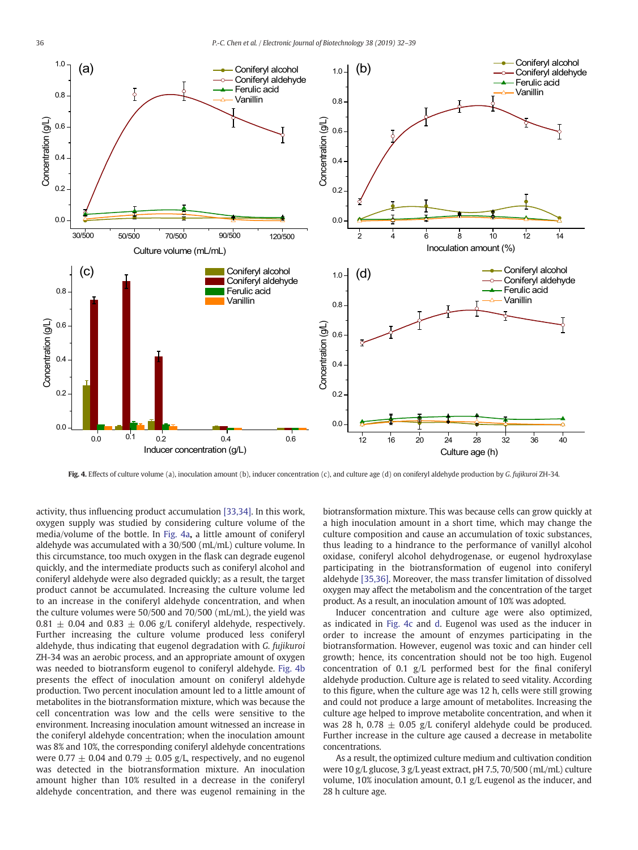<span id="page-4-0"></span>

Fig. 4. Effects of culture volume (a), inoculation amount (b), inducer concentration (c), and culture age (d) on coniferyl aldehyde production by G. fujikuroi ZH-34.

activity, thus influencing product accumulation [\[33,34\].](#page-7-0) In this work, oxygen supply was studied by considering culture volume of the media/volume of the bottle. In Fig. 4a, a little amount of coniferyl aldehyde was accumulated with a 30/500 (mL/mL) culture volume. In this circumstance, too much oxygen in the flask can degrade eugenol quickly, and the intermediate products such as coniferyl alcohol and coniferyl aldehyde were also degraded quickly; as a result, the target product cannot be accumulated. Increasing the culture volume led to an increase in the coniferyl aldehyde concentration, and when the culture volumes were 50/500 and 70/500 (mL/mL), the yield was  $0.81 \pm 0.04$  and  $0.83 \pm 0.06$  g/L coniferyl aldehyde, respectively. Further increasing the culture volume produced less coniferyl aldehyde, thus indicating that eugenol degradation with G. fujikuroi ZH-34 was an aerobic process, and an appropriate amount of oxygen was needed to biotransform eugenol to coniferyl aldehyde. Fig. 4b presents the effect of inoculation amount on coniferyl aldehyde production. Two percent inoculation amount led to a little amount of metabolites in the biotransformation mixture, which was because the cell concentration was low and the cells were sensitive to the environment. Increasing inoculation amount witnessed an increase in the coniferyl aldehyde concentration; when the inoculation amount was 8% and 10%, the corresponding coniferyl aldehyde concentrations were 0.77  $\pm$  0.04 and 0.79  $\pm$  0.05 g/L, respectively, and no eugenol was detected in the biotransformation mixture. An inoculation amount higher than 10% resulted in a decrease in the coniferyl aldehyde concentration, and there was eugenol remaining in the biotransformation mixture. This was because cells can grow quickly at a high inoculation amount in a short time, which may change the culture composition and cause an accumulation of toxic substances, thus leading to a hindrance to the performance of vanillyl alcohol oxidase, coniferyl alcohol dehydrogenase, or eugenol hydroxylase participating in the biotransformation of eugenol into coniferyl aldehyde [\[35,36\].](#page-7-0) Moreover, the mass transfer limitation of dissolved oxygen may affect the metabolism and the concentration of the target product. As a result, an inoculation amount of 10% was adopted.

Inducer concentration and culture age were also optimized, as indicated in Fig. 4c and d. Eugenol was used as the inducer in order to increase the amount of enzymes participating in the biotransformation. However, eugenol was toxic and can hinder cell growth; hence, its concentration should not be too high. Eugenol concentration of 0.1 g/L performed best for the final coniferyl aldehyde production. Culture age is related to seed vitality. According to this figure, when the culture age was 12 h, cells were still growing and could not produce a large amount of metabolites. Increasing the culture age helped to improve metabolite concentration, and when it was 28 h, 0.78  $\pm$  0.05 g/L coniferyl aldehyde could be produced. Further increase in the culture age caused a decrease in metabolite concentrations.

As a result, the optimized culture medium and cultivation condition were 10 g/L glucose, 3 g/L yeast extract, pH 7.5, 70/500 (mL/mL) culture volume, 10% inoculation amount, 0.1 g/L eugenol as the inducer, and 28 h culture age.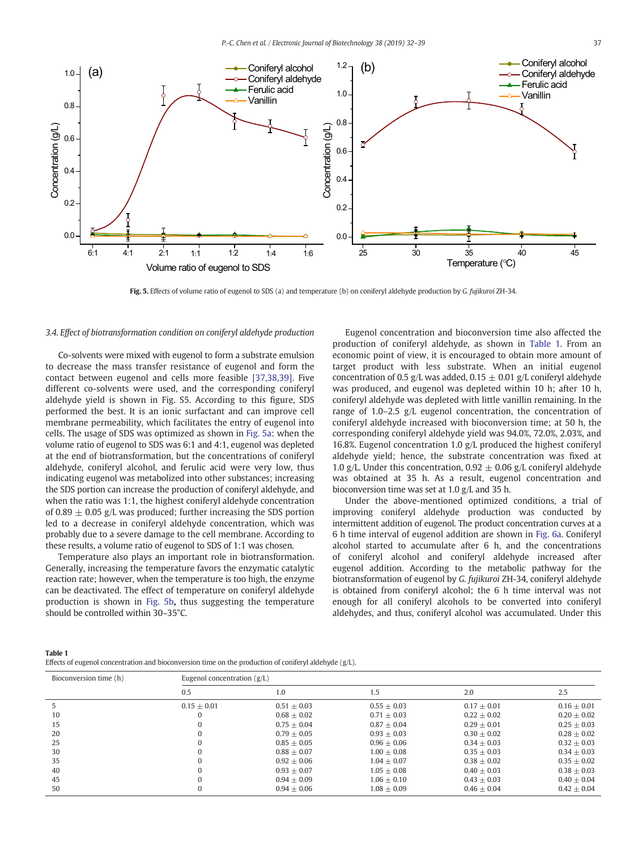

Fig. 5. Effects of volume ratio of eugenol to SDS (a) and temperature (b) on coniferyl aldehyde production by G. fujikuroi ZH-34.

#### 3.4. Effect of biotransformation condition on coniferyl aldehyde production

Co-solvents were mixed with eugenol to form a substrate emulsion to decrease the mass transfer resistance of eugenol and form the contact between eugenol and cells more feasible [\[37,38,39\].](#page-7-0) Five different co-solvents were used, and the corresponding coniferyl aldehyde yield is shown in Fig. S5. According to this figure, SDS performed the best. It is an ionic surfactant and can improve cell membrane permeability, which facilitates the entry of eugenol into cells. The usage of SDS was optimized as shown in Fig. 5a: when the volume ratio of eugenol to SDS was 6:1 and 4:1, eugenol was depleted at the end of biotransformation, but the concentrations of coniferyl aldehyde, coniferyl alcohol, and ferulic acid were very low, thus indicating eugenol was metabolized into other substances; increasing the SDS portion can increase the production of coniferyl aldehyde, and when the ratio was 1:1, the highest coniferyl aldehyde concentration of 0.89  $\pm$  0.05 g/L was produced; further increasing the SDS portion led to a decrease in coniferyl aldehyde concentration, which was probably due to a severe damage to the cell membrane. According to these results, a volume ratio of eugenol to SDS of 1:1 was chosen.

Temperature also plays an important role in biotransformation. Generally, increasing the temperature favors the enzymatic catalytic reaction rate; however, when the temperature is too high, the enzyme can be deactivated. The effect of temperature on coniferyl aldehyde production is shown in Fig. 5b, thus suggesting the temperature should be controlled within 30–35°C.

Eugenol concentration and bioconversion time also affected the production of coniferyl aldehyde, as shown in Table 1. From an economic point of view, it is encouraged to obtain more amount of target product with less substrate. When an initial eugenol concentration of 0.5 g/L was added,  $0.15 \pm 0.01$  g/L coniferyl aldehyde was produced, and eugenol was depleted within 10 h; after 10 h, coniferyl aldehyde was depleted with little vanillin remaining. In the range of 1.0–2.5 g/L eugenol concentration, the concentration of coniferyl aldehyde increased with bioconversion time; at 50 h, the corresponding coniferyl aldehyde yield was 94.0%, 72.0%, 2.03%, and 16.8%. Eugenol concentration 1.0 g/L produced the highest coniferyl aldehyde yield; hence, the substrate concentration was fixed at 1.0 g/L. Under this concentration, 0.92  $\pm$  0.06 g/L coniferyl aldehyde was obtained at 35 h. As a result, eugenol concentration and bioconversion time was set at 1.0 g/L and 35 h.

Under the above-mentioned optimized conditions, a trial of improving coniferyl aldehyde production was conducted by intermittent addition of eugenol. The product concentration curves at a 6 h time interval of eugenol addition are shown in [Fig. 6a](#page-6-0). Coniferyl alcohol started to accumulate after 6 h, and the concentrations of coniferyl alcohol and coniferyl aldehyde increased after eugenol addition. According to the metabolic pathway for the biotransformation of eugenol by G. fujikuroi ZH-34, coniferyl aldehyde is obtained from coniferyl alcohol; the 6 h time interval was not enough for all coniferyl alcohols to be converted into coniferyl aldehydes, and thus, coniferyl alcohol was accumulated. Under this

| Table 1                                                                                                   |  |
|-----------------------------------------------------------------------------------------------------------|--|
| Effects of eugenol concentration and bioconversion time on the production of coniferyl aldehyde $(g/L)$ . |  |

| Bioconversion time (h) | Eugenol concentration $(g/L)$ |               |               |               |               |  |
|------------------------|-------------------------------|---------------|---------------|---------------|---------------|--|
|                        | 0.5                           | 1.0           | 1.5           | 2.0           | 2.5           |  |
|                        | $0.15 + 0.01$                 | $0.51 + 0.03$ | $0.55 + 0.03$ | $0.17 + 0.01$ | $0.16 + 0.01$ |  |
| 10                     | $\Omega$                      | $0.68 + 0.02$ | $0.71 + 0.03$ | $0.22 + 0.02$ | $0.20 + 0.02$ |  |
| 15                     | $\Omega$                      | $0.75 + 0.04$ | $0.87 + 0.04$ | $0.29 + 0.01$ | $0.25 + 0.03$ |  |
| 20                     | $\Omega$                      | $0.79 + 0.05$ | $0.93 + 0.03$ | $0.30 + 0.02$ | $0.28 + 0.02$ |  |
| 25                     | $\Omega$                      | $0.85 + 0.05$ | $0.96 + 0.06$ | $0.34 + 0.03$ | $0.32 + 0.03$ |  |
| 30                     | $\Omega$                      | $0.88 + 0.07$ | $1.00 + 0.08$ | $0.35 + 0.03$ | $0.34 + 0.03$ |  |
| 35                     | $\Omega$                      | $0.92 + 0.06$ | $1.04 + 0.07$ | $0.38 + 0.02$ | $0.35 + 0.02$ |  |
| 40                     | $\Omega$                      | $0.93 + 0.07$ | $1.05 + 0.08$ | $0.40 + 0.03$ | $0.38 + 0.03$ |  |
| 45                     | $\Omega$                      | $0.94 + 0.09$ | $1.06 + 0.10$ | $0.43 + 0.03$ | $0.40 + 0.04$ |  |
| 50                     | $\Omega$                      | $0.94 + 0.06$ | $1.08 + 0.09$ | $0.46 + 0.04$ | $0.42 + 0.04$ |  |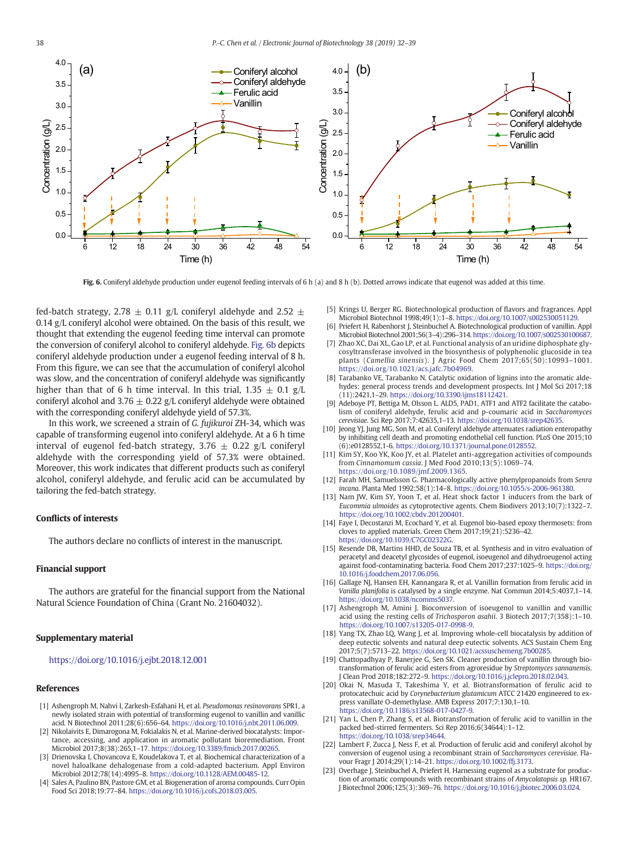<span id="page-6-0"></span>

Fig. 6. Coniferyl aldehyde production under eugenol feeding intervals of 6 h (a) and 8 h (b). Dotted arrows indicate that eugenol was added at this time.

fed-batch strategy, 2.78  $\pm$  0.11 g/L coniferyl aldehyde and 2.52  $\pm$ 0.14 g/L coniferyl alcohol were obtained. On the basis of this result, we thought that extending the eugenol feeding time interval can promote the conversion of coniferyl alcohol to coniferyl aldehyde. Fig. 6b depicts coniferyl aldehyde production under a eugenol feeding interval of 8 h. From this figure, we can see that the accumulation of coniferyl alcohol was slow, and the concentration of coniferyl aldehyde was significantly higher than that of 6 h time interval. In this trial,  $1.35 \pm 0.1$  g/L coniferyl alcohol and 3.76  $\pm$  0.22 g/L coniferyl aldehyde were obtained with the corresponding coniferyl aldehyde yield of 57.3%.

In this work, we screened a strain of G. fujikuroi ZH-34, which was capable of transforming eugenol into coniferyl aldehyde. At a 6 h time interval of eugenol fed-batch strategy,  $3.76 \pm 0.22$  g/L coniferyl aldehyde with the corresponding yield of 57.3% were obtained. Moreover, this work indicates that different products such as coniferyl alcohol, coniferyl aldehyde, and ferulic acid can be accumulated by tailoring the fed-batch strategy.

#### Conflicts of interests

The authors declare no conflicts of interest in the manuscript.

#### Financial support

The authors are grateful for the financial support from the National Natural Science Foundation of China (Grant No. 21604032).

### Supplementary material

#### <https://doi.org/10.1016/j.ejbt.2018.12.001>

#### References

- [1] Ashengroph M, Nahvi I, Zarkesh-Esfahani H, et al. Pseudomonas resinovorans SPR1, a newly isolated strain with potential of transforming eugenol to vanillin and vanillic acid. N Biotechnol 2011;28(6):656–64. <https://doi.org/10.1016/j.nbt.2011.06.009>.
- [2] Nikolaivits E, Dimarogona M, Fokialakis N, et al. Marine-derived biocatalysts: Importance, accessing, and application in aromatic pollutant bioremediation. Front Microbiol 2017;8(38):265,1–17. [https://doi.org/10.3389/fmicb.2017.00265.](https://doi.org/10.3389/fmicb.2017.00265)
- [3] Drienovska I, Chovancova E, Koudelakova T, et al. Biochemical characterization of a novel haloalkane dehalogenase from a cold-adapted bacterium. Appl Environ Microbiol 2012;78(14):4995–8. <https://doi.org/10.1128/AEM.00485-12>.
- [4] Sales A, Paulino BN, Pastore GM, et al. Biogeneration of aroma compounds. Curr Opin Food Sci 2018;19:77–84. [https://doi.org/10.1016/j.cofs.2018.03.005.](https://doi.org/10.1016/j.cofs.2018.03.005)
- [5] Krings U, Berger RG. Biotechnological production of flavors and fragrances. Appl Microbiol Biotechnol 1998;49(1):1–8. <https://doi.org/10.1007/s002530051129>.
- [6] Priefert H, Rabenhorst J, Steinbuchel A. Biotechnological production of vanillin. Appl Microbiol Biotechnol 2001;56(3–4):296–314. <https://doi.org/10.1007/s002530100687>.
- [7] Zhao XC, Dai XL, Gao LP, et al. Functional analysis of an uridine diphosphate glycosyltransferase involved in the biosynthesis of polyphenolic glucoside in tea plants (Camellia sinensis). J Agric Food Chem 2017;65(50):10993–1001. <https://doi.org/10.1021/acs.jafc.7b04969>.
- [8] Tarabanko VE, Tarabanko N. Catalytic oxidation of lignins into the aromatic aldehydes: general process trends and development prospects. Int J Mol Sci 2017;18 (11):2421,1–29. [https://doi.org/10.3390/ijms18112421.](https://doi.org/10.3390/ijms18112421)
- Adeboye PT, Bettiga M, Olsson L. ALD5, PAD1, ATF1 and ATF2 facilitate the catabolism of coniferyl aldehyde, ferulic acid and p-coumaric acid in Saccharomyces cerevisiae. Sci Rep 2017;7:42635,1–13. [https://doi.org/10.1038/srep42635.](https://doi.org/10.1038/srep42635)
- [10] Jeong YJ, Jung MG, Son M, et al. Coniferyl aldehyde attenuates radiation enteropathy by inhibiting cell death and promoting endothelial cell function. PLoS One 2015;10 (6):e0128552,1-6. [https://doi.org/10.1371/journal.pone.0128552.](https://doi.org/10.1371/journal.pone.0128552)
- [11] Kim SY, Koo YK, Koo JY, et al. Platelet anti-aggregation activities of compounds from Cinnamomum cassia. J Med Food 2010;13(5):1069–74. [https://doi.org/10.1089/jmf.2009.1365.](https://doi.org/10.1089/jmf.2009.1365)
- [12] Farah MH, Samuelsson G. Pharmacologically active phenylpropanoids from Senra incana. Planta Med 1992;58(1):14–8. <https://doi.org/10.1055/s-2006-961380>.
- [13] Nam JW, Kim SY, Yoon T, et al. Heat shock factor 1 inducers from the bark of Eucommia ulmoides as cytoprotective agents. Chem Biodivers 2013;10(7):1322–7. [https://doi.org/10.1002/cbdv.201200401.](https://doi.org/10.1002/cbdv.201200401)
- [14] Faye I, Decostanzi M, Ecochard Y, et al. Eugenol bio-based epoxy thermosets: from cloves to applied materials. Green Chem 2017;19(21):5236–42. [https://doi.org/10.1039/C7GC02322G.](https://doi.org/10.1039/C7GC02322G)
- [15] Resende DB, Martins HHD, de Souza TB, et al. Synthesis and in vitro evaluation of peracetyl and deacetyl glycosides of eugenol, isoeugenol and dihydroeugenol acting against food-contaminating bacteria. Food Chem 2017;237:1025–9. [https://doi.org/](https://doi.org/10.1016/j.foodchem.2017.06.056) [10.1016/j.foodchem.2017.06.056.](https://doi.org/10.1016/j.foodchem.2017.06.056)
- [16] Gallage NJ, Hansen EH, Kannangara R, et al. Vanillin formation from ferulic acid in Vanilla planifolia is catalysed by a single enzyme. Nat Commun 2014;5:4037,1–14. [https://doi.org/10.1038/ncomms5037.](https://doi.org/10.1038/ncomms5037)
- [17] Ashengroph M, Amini J. Bioconversion of isoeugenol to vanillin and vanillic acid using the resting cells of Trichosporon asahii. 3 Biotech 2017;7(358):1–10. <https://doi.org/10.1007/s13205-017-0998-9>.
- [18] Yang TX, Zhao LQ, Wang J, et al. Improving whole-cell biocatalysis by addition of deep eutectic solvents and natural deep eutectic solvents. ACS Sustain Chem Eng 2017;5(7):5713–22. [https://doi.org/10.1021/acssuschemeng.7b00285.](https://doi.org/10.1021/acssuschemeng.7b00285)
- [19] Chattopadhyay P, Banerjee G, Sen SK. Cleaner production of vanillin through biotransformation of ferulic acid esters from agroresidue by Streptomyces sannanensis. J Clean Prod 2018;182:272–9. [https://doi.org/10.1016/j.jclepro.2018.02.043.](https://doi.org/10.1016/j.jclepro.2018.02.043)
- [20] Okai N, Masuda T, Takeshima Y, et al. Biotransformation of ferulic acid to protocatechuic acid by Corynebacterium glutamicum ATCC 21420 engineered to express vanillate O-demethylase. AMB Express 2017;7:130,1–10. <https://doi.org/10.1186/s13568-017-0427-9>.
- [21] Yan L, Chen P, Zhang S, et al. Biotransformation of ferulic acid to vanillin in the packed bed-stirred fermenters. Sci Rep 2016;6(34644):1–12. [https://doi.org/10.1038/srep34644.](https://doi.org/10.1038/srep34644)
- [22] Lambert F, Zucca J, Ness F, et al. Production of ferulic acid and coniferyl alcohol by conversion of eugenol using a recombinant strain of Saccharomyces cerevisiae. Flavour Fragr J 2014;29(1):14–21. <https://doi.org/10.1002/ffj.3173>.
- [23] Overhage J, Steinbuchel A, Priefert H. Harnessing eugenol as a substrate for production of aromatic compounds with recombinant strains of Amycolatopsis sp. HR167. J Biotechnol 2006;125(3):369–76. [https://doi.org/10.1016/j.jbiotec.2006.03.024.](https://doi.org/10.1016/j.jbiotec.2006.03.024)